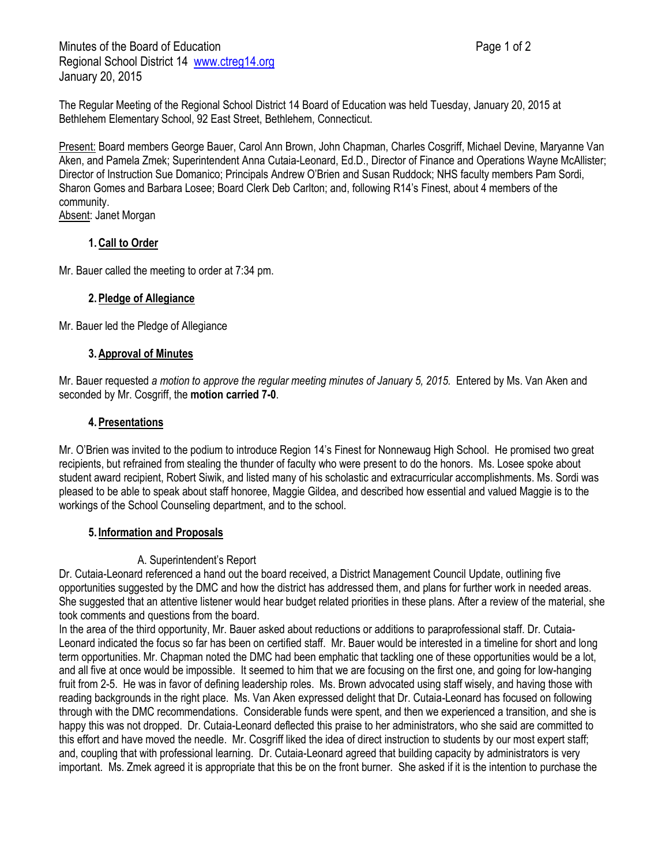The Regular Meeting of the Regional School District 14 Board of Education was held Tuesday, January 20, 2015 at Bethlehem Elementary School, 92 East Street, Bethlehem, Connecticut.

Present: Board members George Bauer, Carol Ann Brown, John Chapman, Charles Cosgriff, Michael Devine, Maryanne Van Aken, and Pamela Zmek; Superintendent Anna Cutaia-Leonard, Ed.D., Director of Finance and Operations Wayne McAllister; Director of Instruction Sue Domanico; Principals Andrew O'Brien and Susan Ruddock; NHS faculty members Pam Sordi, Sharon Gomes and Barbara Losee; Board Clerk Deb Carlton; and, following R14's Finest, about 4 members of the community.

Absent: Janet Morgan

# **1.Call to Order**

Mr. Bauer called the meeting to order at 7:34 pm.

## **2.Pledge of Allegiance**

Mr. Bauer led the Pledge of Allegiance

#### **3.Approval of Minutes**

Mr. Bauer requested *a motion to approve the regular meeting minutes of January 5, 2015.* Entered by Ms. Van Aken and seconded by Mr. Cosgriff, the **motion carried 7-0**.

## **4.Presentations**

Mr. O'Brien was invited to the podium to introduce Region 14's Finest for Nonnewaug High School. He promised two great recipients, but refrained from stealing the thunder of faculty who were present to do the honors. Ms. Losee spoke about student award recipient, Robert Siwik, and listed many of his scholastic and extracurricular accomplishments. Ms. Sordi was pleased to be able to speak about staff honoree, Maggie Gildea, and described how essential and valued Maggie is to the workings of the School Counseling department, and to the school.

## **5. Information and Proposals**

## A. Superintendent's Report

Dr. Cutaia-Leonard referenced a hand out the board received, a District Management Council Update, outlining five opportunities suggested by the DMC and how the district has addressed them, and plans for further work in needed areas. She suggested that an attentive listener would hear budget related priorities in these plans. After a review of the material, she took comments and questions from the board.

In the area of the third opportunity, Mr. Bauer asked about reductions or additions to paraprofessional staff. Dr. Cutaia-Leonard indicated the focus so far has been on certified staff. Mr. Bauer would be interested in a timeline for short and long term opportunities. Mr. Chapman noted the DMC had been emphatic that tackling one of these opportunities would be a lot, and all five at once would be impossible. It seemed to him that we are focusing on the first one, and going for low-hanging fruit from 2-5. He was in favor of defining leadership roles. Ms. Brown advocated using staff wisely, and having those with reading backgrounds in the right place. Ms. Van Aken expressed delight that Dr. Cutaia-Leonard has focused on following through with the DMC recommendations. Considerable funds were spent, and then we experienced a transition, and she is happy this was not dropped. Dr. Cutaia-Leonard deflected this praise to her administrators, who she said are committed to this effort and have moved the needle. Mr. Cosgriff liked the idea of direct instruction to students by our most expert staff; and, coupling that with professional learning. Dr. Cutaia-Leonard agreed that building capacity by administrators is very important. Ms. Zmek agreed it is appropriate that this be on the front burner. She asked if it is the intention to purchase the